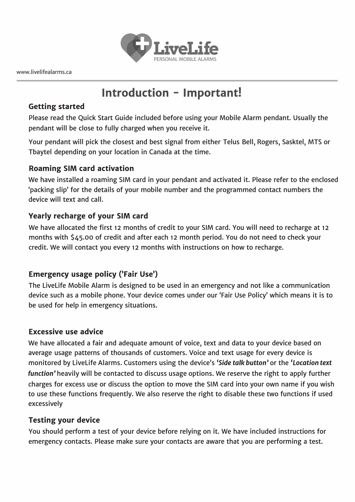

# **Introduction - Important!**

## **Getting started**

Please read the Quick Start Guide included before using your Mobile Alarm pendant. Usually the pendant will be close to fully charged when you receive it.

Your pendant will pick the closest and best signal from either Telus Bell, Rogers, Sasktel, MTS or Tbaytel depending on your location in Canada at the time.

### **Roaming SIM card activation**

We have installed a roaming SIM card in your pendant and activated it. Please refer to the enclosed 'packing slip' for the details of your mobile number and the programmed contact numbers the device will text and call.

## **Yearly recharge of your SIM card**

We have allocated the first **12** months of credit to your SIM card. You will need to recharge at **12**  months with \$45.00 of credit and after each **12** month period. You do not need to check your credit. We will contact you every **12** months with instructions on how to recharge.

## **Emergency usage policy ('Fair Use')**

The Livelife Mobile Alarm is designed to be used in an emergency and not like a communication device such as a mobile phone. Your device comes under our 'Fair Use Policy' which means it is to be used for help in emergency situations.

#### **Excessive use advice**

We have allocated a fair and adequate amount of voice, text and data to your device based on average usage patterns of thousands of customers. Voice and text usage for every device is monitored by Livelife Alarms. Customers using the device's *'Side talk button'* or the *'Location text function'* heavily will be contacted to discuss usage options. We reserve the right to apply further charges for excess use or discuss the option to move the SIM card into your own name if you wish to use these functions frequently. We also reserve the right to disable these two functions if used excessively

#### **Testing your device**

You should perform a test of your device before relying on it. We have included instructions for emergency contacts. Please make sure your contacts are aware that you are performing a test.